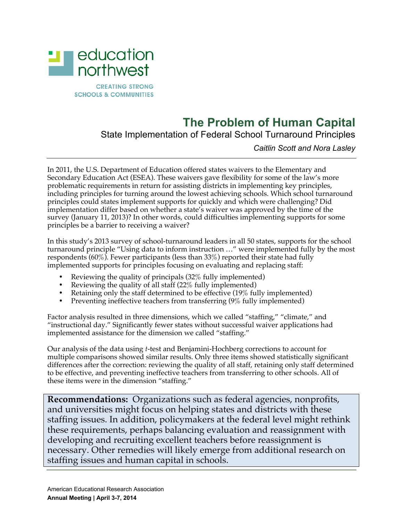

## **The Problem of Human Capital**

State Implementation of Federal School Turnaround Principles

*Caitlin Scott and Nora Lasley*

In 2011, the U.S. Department of Education offered states waivers to the Elementary and Secondary Education Act (ESEA). These waivers gave flexibility for some of the law's more problematic requirements in return for assisting districts in implementing key principles, including principles for turning around the lowest achieving schools. Which school turnaround principles could states implement supports for quickly and which were challenging? Did implementation differ based on whether a state's waiver was approved by the time of the survey (January 11, 2013)? In other words, could difficulties implementing supports for some principles be a barrier to receiving a waiver?

In this study's 2013 survey of school-turnaround leaders in all 50 states, supports for the school turnaround principle "Using data to inform instruction …" were implemented fully by the most respondents (60%). Fewer participants (less than 33%) reported their state had fully implemented supports for principles focusing on evaluating and replacing staff:

- Reviewing the quality of principals (32% fully implemented)
- Reviewing the quality of all staff (22% fully implemented)
- Retaining only the staff determined to be effective  $(19\%$  fully implemented)
- Preventing ineffective teachers from transferring (9% fully implemented)

Factor analysis resulted in three dimensions, which we called "staffing," "climate," and "instructional day." Significantly fewer states without successful waiver applications had implemented assistance for the dimension we called "staffing."

Our analysis of the data using *t*-test and Benjamini-Hochberg corrections to account for multiple comparisons showed similar results. Only three items showed statistically significant differences after the correction: reviewing the quality of all staff, retaining only staff determined to be effective, and preventing ineffective teachers from transferring to other schools. All of these items were in the dimension "staffing."

**Recommendations:** Organizations such as federal agencies, nonprofits, and universities might focus on helping states and districts with these staffing issues. In addition, policymakers at the federal level might rethink these requirements, perhaps balancing evaluation and reassignment with developing and recruiting excellent teachers before reassignment is necessary. Other remedies will likely emerge from additional research on staffing issues and human capital in schools.